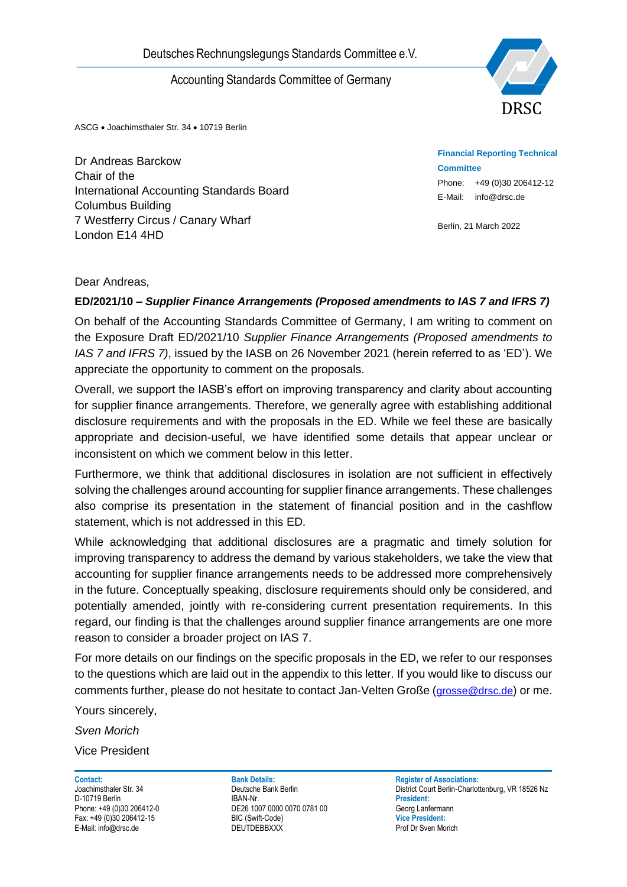

ASCG • Joachimsthaler Str. 34 • 10719 Berlin

Dr Andreas Barckow Chair of the International Accounting Standards Board Columbus Building 7 Westferry Circus / Canary Wharf London E14 4HD

**Financial Reporting Technical Committee** Phone: +49 (0)30 206412-12 E-Mail: info@drsc.de

Berlin, 21 March 2022

### Dear Andreas,

### **ED/2021/10** *– Supplier Finance Arrangements (Proposed amendments to IAS 7 and IFRS 7)*

On behalf of the Accounting Standards Committee of Germany, I am writing to comment on the Exposure Draft ED/2021/10 *Supplier Finance Arrangements (Proposed amendments to IAS 7 and IFRS 7)*, issued by the IASB on 26 November 2021 (herein referred to as 'ED'). We appreciate the opportunity to comment on the proposals.

Overall, we support the IASB's effort on improving transparency and clarity about accounting for supplier finance arrangements. Therefore, we generally agree with establishing additional disclosure requirements and with the proposals in the ED. While we feel these are basically appropriate and decision-useful, we have identified some details that appear unclear or inconsistent on which we comment below in this letter.

Furthermore, we think that additional disclosures in isolation are not sufficient in effectively solving the challenges around accounting for supplier finance arrangements. These challenges also comprise its presentation in the statement of financial position and in the cashflow statement, which is not addressed in this ED.

Deutsches Rechnungslegungs Standards Committee e.V.<br>
Accounting Standards Committee of Germany<br>
NATOR Accounting Standards Board<br>
Dr Andreas Barckow<br>
Char of the Accounting Standards Board<br>
Charmational Accounting Standard While acknowledging that additional disclosures are a pragmatic and timely solution for improving transparency to address the demand by various stakeholders, we take the view that accounting for supplier finance arrangements needs to be addressed more comprehensively in the future. Conceptually speaking, disclosure requirements should only be considered, and potentially amended, jointly with re-considering current presentation requirements. In this regard, our finding is that the challenges around supplier finance arrangements are one more reason to consider a broader project on IAS 7.

For more details on our findings on the specific proposals in the ED, we refer to our responses to the questions which are laid out in the appendix to this letter. If you would like to discuss our comments further, please do not hesitate to contact Jan-Velten Große ([grosse@drsc.de](mailto:grosse@drsc.de)) or me.

Yours sincerely,

*Sven Morich*

Vice President

D-10719 Berlin **President:**<br>
Phone: +49 (0)30 206412-0<br> **DE26 1007 0000 0070 0781 00 DE26 1007 0000 0070 0781 00** DE26 1007 0000 0070 0781 00 Fax: +49 (0)30 206412-15 BIC (Swift-Code) **Vice President:**

**Contact: Bank Details: Bank Details: Register of Associations: Park Details: Register of Associations: Park Details: Register of Associations: Park Details: Park Details: Park Details: Register of As** District Court Berlin-Charlottenburg, VR 18526 Nz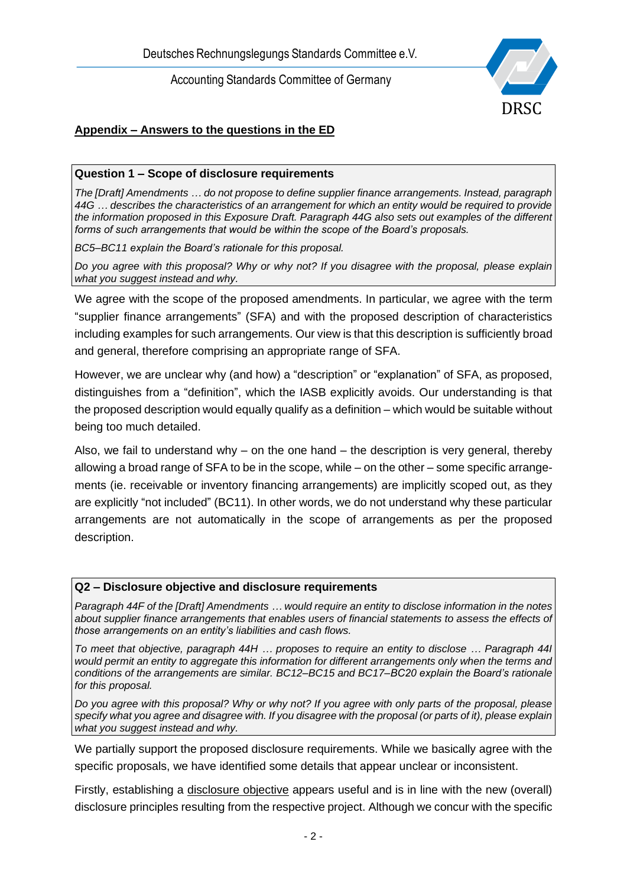

# **Appendix – Answers to the questions in the ED**

### **Question 1 – Scope of disclosure requirements**

*The [Draft] Amendments … do not propose to define supplier finance arrangements. Instead, paragraph 44G … describes the characteristics of an arrangement for which an entity would be required to provide the information proposed in this Exposure Draft. Paragraph 44G also sets out examples of the different forms of such arrangements that would be within the scope of the Board's proposals.*

*BC5–BC11 explain the Board's rationale for this proposal.*

*Do you agree with this proposal? Why or why not? If you disagree with the proposal, please explain what you suggest instead and why.*

We agree with the scope of the proposed amendments. In particular, we agree with the term "supplier finance arrangements" (SFA) and with the proposed description of characteristics including examples for such arrangements. Our view is that this description is sufficiently broad and general, therefore comprising an appropriate range of SFA.

However, we are unclear why (and how) a "description" or "explanation" of SFA, as proposed, distinguishes from a "definition", which the IASB explicitly avoids. Our understanding is that the proposed description would equally qualify as a definition – which would be suitable without being too much detailed.

Also, we fail to understand why – on the one hand – the description is very general, thereby allowing a broad range of SFA to be in the scope, while – on the other – some specific arrangements (ie. receivable or inventory financing arrangements) are implicitly scoped out, as they are explicitly "not included" (BC11). In other words, we do not understand why these particular arrangements are not automatically in the scope of arrangements as per the proposed description.

### **Q2 – Disclosure objective and disclosure requirements**

*Paragraph 44F of the [Draft] Amendments … would require an entity to disclose information in the notes about supplier finance arrangements that enables users of financial statements to assess the effects of those arrangements on an entity's liabilities and cash flows.*

*To meet that objective, paragraph 44H … proposes to require an entity to disclose … Paragraph 44I would permit an entity to aggregate this information for different arrangements only when the terms and conditions of the arrangements are similar. BC12–BC15 and BC17–BC20 explain the Board's rationale for this proposal.*

*Do you agree with this proposal? Why or why not? If you agree with only parts of the proposal, please specify what you agree and disagree with. If you disagree with the proposal (or parts of it), please explain what you suggest instead and why.*

We partially support the proposed disclosure requirements. While we basically agree with the specific proposals, we have identified some details that appear unclear or inconsistent.

Firstly, establishing a disclosure objective appears useful and is in line with the new (overall) disclosure principles resulting from the respective project. Although we concur with the specific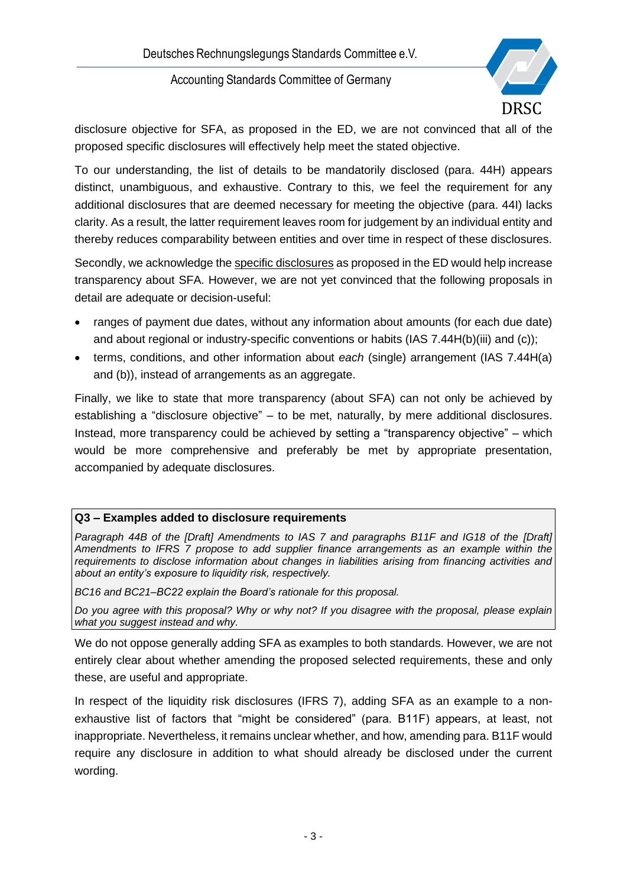

disclosure objective for SFA, as proposed in the ED, we are not convinced that all of the proposed specific disclosures will effectively help meet the stated objective.

To our understanding, the list of details to be mandatorily disclosed (para. 44H) appears distinct, unambiguous, and exhaustive. Contrary to this, we feel the requirement for any additional disclosures that are deemed necessary for meeting the objective (para. 44I) lacks clarity. As a result, the latter requirement leaves room for judgement by an individual entity and thereby reduces comparability between entities and over time in respect of these disclosures.

Secondly, we acknowledge the specific disclosures as proposed in the ED would help increase transparency about SFA. However, we are not yet convinced that the following proposals in detail are adequate or decision-useful:

- ranges of payment due dates, without any information about amounts (for each due date) and about regional or industry-specific conventions or habits (IAS 7.44H(b)(iii) and (c));
- terms, conditions, and other information about *each* (single) arrangement (IAS 7.44H(a) and (b)), instead of arrangements as an aggregate.

Finally, we like to state that more transparency (about SFA) can not only be achieved by establishing a "disclosure objective" – to be met, naturally, by mere additional disclosures. Instead, more transparency could be achieved by setting a "transparency objective" – which would be more comprehensive and preferably be met by appropriate presentation, accompanied by adequate disclosures.

### **Q3 – Examples added to disclosure requirements**

*Paragraph 44B of the [Draft] Amendments to IAS 7 and paragraphs B11F and IG18 of the [Draft] Amendments to IFRS 7 propose to add supplier finance arrangements as an example within the requirements to disclose information about changes in liabilities arising from financing activities and about an entity's exposure to liquidity risk, respectively.*

*BC16 and BC21–BC22 explain the Board's rationale for this proposal.*

*Do you agree with this proposal? Why or why not? If you disagree with the proposal, please explain what you suggest instead and why.*

We do not oppose generally adding SFA as examples to both standards. However, we are not entirely clear about whether amending the proposed selected requirements, these and only these, are useful and appropriate.

In respect of the liquidity risk disclosures (IFRS 7), adding SFA as an example to a nonexhaustive list of factors that "might be considered" (para. B11F) appears, at least, not inappropriate. Nevertheless, it remains unclear whether, and how, amending para. B11F would require any disclosure in addition to what should already be disclosed under the current wording.